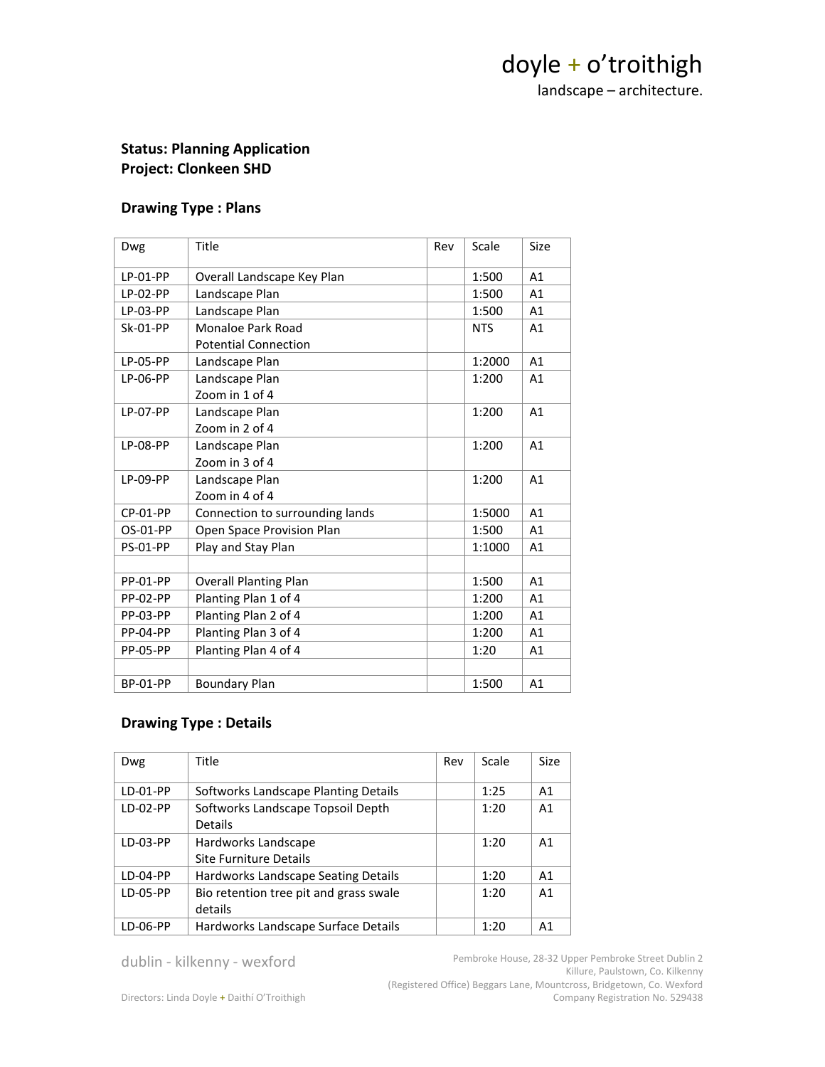## doyle + o'troithigh

landscape – architecture.

### **Status: Planning Application Project: Clonkeen SHD**

#### **Drawing Type : Plans**

| Dwg             | Title                           | Rev | Scale      | Size |
|-----------------|---------------------------------|-----|------------|------|
| LP-01-PP        | Overall Landscape Key Plan      |     | 1:500      | A1   |
| LP-02-PP        | Landscape Plan                  |     | 1:500      | A1   |
| LP-03-PP        | Landscape Plan                  |     | 1:500      | A1   |
| <b>Sk-01-PP</b> | Monaloe Park Road               |     | <b>NTS</b> | A1   |
|                 | <b>Potential Connection</b>     |     |            |      |
| <b>LP-05-PP</b> | Landscape Plan                  |     | 1:2000     | A1   |
| LP-06-PP        | Landscape Plan                  |     | 1:200      | A1   |
|                 | Zoom in 1 of 4                  |     |            |      |
| <b>LP-07-PP</b> | Landscape Plan                  |     | 1:200      | A1   |
|                 | Zoom in 2 of 4                  |     |            |      |
| <b>LP-08-PP</b> | Landscape Plan                  |     | 1:200      | A1   |
|                 | Zoom in 3 of 4                  |     |            |      |
| LP-09-PP        | Landscape Plan                  |     | 1:200      | A1   |
|                 | Zoom in 4 of 4                  |     |            |      |
| CP-01-PP        | Connection to surrounding lands |     | 1:5000     | A1   |
| OS-01-PP        | Open Space Provision Plan       |     | 1:500      | A1   |
| <b>PS-01-PP</b> | Play and Stay Plan              |     | 1:1000     | A1   |
|                 |                                 |     |            |      |
| <b>PP-01-PP</b> | <b>Overall Planting Plan</b>    |     | 1:500      | A1   |
| <b>PP-02-PP</b> | Planting Plan 1 of 4            |     | 1:200      | A1   |
| <b>PP-03-PP</b> | Planting Plan 2 of 4            |     | 1:200      | A1   |
| <b>PP-04-PP</b> | Planting Plan 3 of 4            |     | 1:200      | A1   |
| <b>PP-05-PP</b> | Planting Plan 4 of 4            |     | 1:20       | A1   |
|                 |                                 |     |            |      |
| <b>BP-01-PP</b> | <b>Boundary Plan</b>            |     | 1:500      | A1   |

#### **Drawing Type : Details**

| <b>Dwg</b> | Title                                  | Rev | Scale | <b>Size</b>    |
|------------|----------------------------------------|-----|-------|----------------|
| LD-01-PP   | Softworks Landscape Planting Details   |     | 1:25  | A <sub>1</sub> |
| $LD-02-PP$ | Softworks Landscape Topsoil Depth      |     | 1:20  | A1             |
|            | <b>Details</b>                         |     |       |                |
| LD-03-PP   | Hardworks Landscape                    |     | 1:20  | A <sub>1</sub> |
|            | Site Furniture Details                 |     |       |                |
| $LD-04-PP$ | Hardworks Landscape Seating Details    |     | 1:20  | A <sub>1</sub> |
| LD-05-PP   | Bio retention tree pit and grass swale |     | 1:20  | A <sub>1</sub> |
|            | details                                |     |       |                |
| LD-06-PP   | Hardworks Landscape Surface Details    |     | 1:20  | A <sub>1</sub> |

dublin - kilkenny - wexford